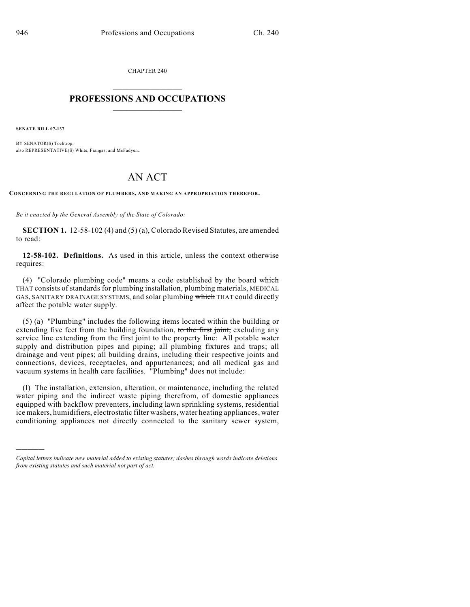CHAPTER 240

## $\mathcal{L}_\text{max}$  . The set of the set of the set of the set of the set of the set of the set of the set of the set of the set of the set of the set of the set of the set of the set of the set of the set of the set of the set **PROFESSIONS AND OCCUPATIONS**  $\frac{1}{2}$  ,  $\frac{1}{2}$  ,  $\frac{1}{2}$  ,  $\frac{1}{2}$  ,  $\frac{1}{2}$  ,  $\frac{1}{2}$

**SENATE BILL 07-137**

)))))

BY SENATOR(S) Tochtrop; also REPRESENTATIVE(S) White, Frangas, and McFadyen.

## AN ACT

**CONCERNING THE REGULATION OF PLUMBERS, AND MAKING AN APPROPRIATION THEREFOR.**

*Be it enacted by the General Assembly of the State of Colorado:*

**SECTION 1.** 12-58-102 (4) and (5) (a), Colorado Revised Statutes, are amended to read:

**12-58-102. Definitions.** As used in this article, unless the context otherwise requires:

(4) "Colorado plumbing code" means a code established by the board which THAT consists of standards for plumbing installation, plumbing materials, MEDICAL GAS, SANITARY DRAINAGE SYSTEMS, and solar plumbing which THAT could directly affect the potable water supply.

(5) (a) "Plumbing" includes the following items located within the building or extending five feet from the building foundation, to the first joint, excluding any service line extending from the first joint to the property line: All potable water supply and distribution pipes and piping; all plumbing fixtures and traps; all drainage and vent pipes; all building drains, including their respective joints and connections, devices, receptacles, and appurtenances; and all medical gas and vacuum systems in health care facilities. "Plumbing" does not include:

(I) The installation, extension, alteration, or maintenance, including the related water piping and the indirect waste piping therefrom, of domestic appliances equipped with backflow preventers, including lawn sprinkling systems, residential ice makers, humidifiers, electrostatic filter washers, water heating appliances, water conditioning appliances not directly connected to the sanitary sewer system,

*Capital letters indicate new material added to existing statutes; dashes through words indicate deletions from existing statutes and such material not part of act.*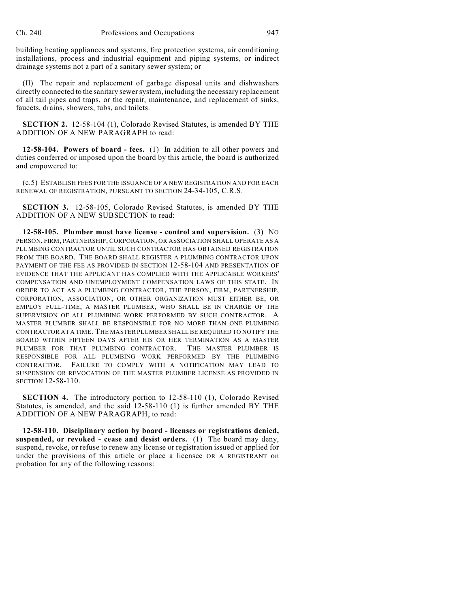building heating appliances and systems, fire protection systems, air conditioning installations, process and industrial equipment and piping systems, or indirect drainage systems not a part of a sanitary sewer system; or

(II) The repair and replacement of garbage disposal units and dishwashers directly connected to the sanitary sewer system, including the necessary replacement of all tail pipes and traps, or the repair, maintenance, and replacement of sinks, faucets, drains, showers, tubs, and toilets.

**SECTION 2.** 12-58-104 (1), Colorado Revised Statutes, is amended BY THE ADDITION OF A NEW PARAGRAPH to read:

**12-58-104. Powers of board - fees.** (1) In addition to all other powers and duties conferred or imposed upon the board by this article, the board is authorized and empowered to:

(c.5) ESTABLISH FEES FOR THE ISSUANCE OF A NEW REGISTRATION AND FOR EACH RENEWAL OF REGISTRATION, PURSUANT TO SECTION 24-34-105, C.R.S.

**SECTION 3.** 12-58-105, Colorado Revised Statutes, is amended BY THE ADDITION OF A NEW SUBSECTION to read:

**12-58-105. Plumber must have license - control and supervision.** (3) NO PERSON, FIRM, PARTNERSHIP, CORPORATION, OR ASSOCIATION SHALL OPERATE AS A PLUMBING CONTRACTOR UNTIL SUCH CONTRACTOR HAS OBTAINED REGISTRATION FROM THE BOARD. THE BOARD SHALL REGISTER A PLUMBING CONTRACTOR UPON PAYMENT OF THE FEE AS PROVIDED IN SECTION 12-58-104 AND PRESENTATION OF EVIDENCE THAT THE APPLICANT HAS COMPLIED WITH THE APPLICABLE WORKERS' COMPENSATION AND UNEMPLOYMENT COMPENSATION LAWS OF THIS STATE. IN ORDER TO ACT AS A PLUMBING CONTRACTOR, THE PERSON, FIRM, PARTNERSHIP, CORPORATION, ASSOCIATION, OR OTHER ORGANIZATION MUST EITHER BE, OR EMPLOY FULL-TIME, A MASTER PLUMBER, WHO SHALL BE IN CHARGE OF THE SUPERVISION OF ALL PLUMBING WORK PERFORMED BY SUCH CONTRACTOR. A MASTER PLUMBER SHALL BE RESPONSIBLE FOR NO MORE THAN ONE PLUMBING CONTRACTOR AT A TIME. THE MASTER PLUMBER SHALL BE REQUIRED TO NOTIFY THE BOARD WITHIN FIFTEEN DAYS AFTER HIS OR HER TERMINATION AS A MASTER PLUMBER FOR THAT PLUMBING CONTRACTOR. THE MASTER PLUMBER IS RESPONSIBLE FOR ALL PLUMBING WORK PERFORMED BY THE PLUMBING CONTRACTOR. FAILURE TO COMPLY WITH A NOTIFICATION MAY LEAD TO SUSPENSION OR REVOCATION OF THE MASTER PLUMBER LICENSE AS PROVIDED IN SECTION 12-58-110.

**SECTION 4.** The introductory portion to 12-58-110 (1), Colorado Revised Statutes, is amended, and the said 12-58-110 (1) is further amended BY THE ADDITION OF A NEW PARAGRAPH, to read:

**12-58-110. Disciplinary action by board - licenses or registrations denied, suspended, or revoked - cease and desist orders.** (1) The board may deny, suspend, revoke, or refuse to renew any license or registration issued or applied for under the provisions of this article or place a licensee OR A REGISTRANT on probation for any of the following reasons: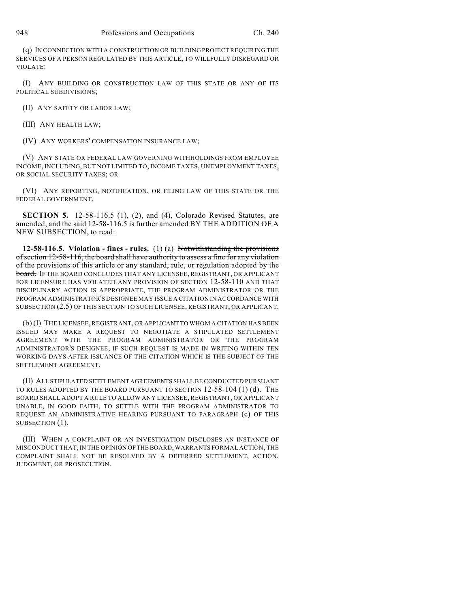(q) IN CONNECTION WITH A CONSTRUCTION OR BUILDING PROJECT REQUIRING THE SERVICES OF A PERSON REGULATED BY THIS ARTICLE, TO WILLFULLY DISREGARD OR VIOLATE:

(I) ANY BUILDING OR CONSTRUCTION LAW OF THIS STATE OR ANY OF ITS POLITICAL SUBDIVISIONS;

(II) ANY SAFETY OR LABOR LAW;

(III) ANY HEALTH LAW;

(IV) ANY WORKERS' COMPENSATION INSURANCE LAW;

(V) ANY STATE OR FEDERAL LAW GOVERNING WITHHOLDINGS FROM EMPLOYEE INCOME, INCLUDING, BUT NOT LIMITED TO, INCOME TAXES, UNEMPLOYMENT TAXES, OR SOCIAL SECURITY TAXES; OR

(VI) ANY REPORTING, NOTIFICATION, OR FILING LAW OF THIS STATE OR THE FEDERAL GOVERNMENT.

**SECTION 5.** 12-58-116.5 (1), (2), and (4), Colorado Revised Statutes, are amended, and the said 12-58-116.5 is further amended BY THE ADDITION OF A NEW SUBSECTION, to read:

**12-58-116.5. Violation - fines - rules.** (1) (a) Notwithstanding the provisions of section 12-58-116, the board shall have authority to assess a fine for any violation of the provisions of this article or any standard, rule, or regulation adopted by the board. IF THE BOARD CONCLUDES THAT ANY LICENSEE, REGISTRANT, OR APPLICANT FOR LICENSURE HAS VIOLATED ANY PROVISION OF SECTION 12-58-110 AND THAT DISCIPLINARY ACTION IS APPROPRIATE, THE PROGRAM ADMINISTRATOR OR THE PROGRAM ADMINISTRATOR'S DESIGNEE MAY ISSUE A CITATION IN ACCORDANCE WITH SUBSECTION (2.5) OF THIS SECTION TO SUCH LICENSEE, REGISTRANT, OR APPLICANT.

(b) (I) THE LICENSEE, REGISTRANT, OR APPLICANT TO WHOM A CITATION HAS BEEN ISSUED MAY MAKE A REQUEST TO NEGOTIATE A STIPULATED SETTLEMENT AGREEMENT WITH THE PROGRAM ADMINISTRATOR OR THE PROGRAM ADMINISTRATOR'S DESIGNEE, IF SUCH REQUEST IS MADE IN WRITING WITHIN TEN WORKING DAYS AFTER ISSUANCE OF THE CITATION WHICH IS THE SUBJECT OF THE SETTLEMENT AGREEMENT.

(II) ALL STIPULATED SETTLEMENT AGREEMENTS SHALL BE CONDUCTED PURSUANT TO RULES ADOPTED BY THE BOARD PURSUANT TO SECTION 12-58-104 (1) (d). THE BOARD SHALL ADOPT A RULE TO ALLOW ANY LICENSEE, REGISTRANT, OR APPLICANT UNABLE, IN GOOD FAITH, TO SETTLE WITH THE PROGRAM ADMINISTRATOR TO REQUEST AN ADMINISTRATIVE HEARING PURSUANT TO PARAGRAPH (c) OF THIS SUBSECTION (1).

(III) WHEN A COMPLAINT OR AN INVESTIGATION DISCLOSES AN INSTANCE OF MISCONDUCT THAT, IN THE OPINION OF THE BOARD, WARRANTS FORMAL ACTION, THE COMPLAINT SHALL NOT BE RESOLVED BY A DEFERRED SETTLEMENT, ACTION, JUDGMENT, OR PROSECUTION.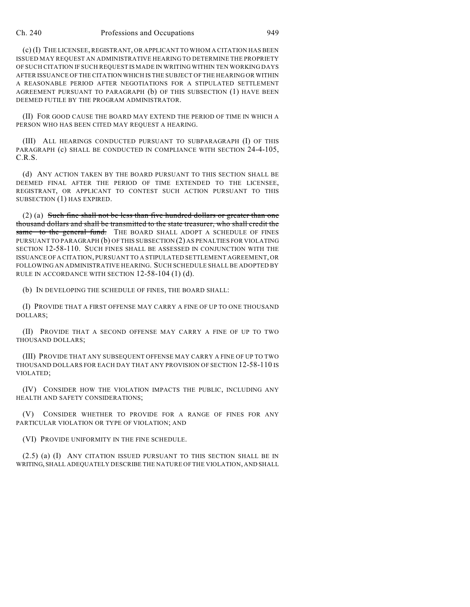## Ch. 240 Professions and Occupations 949

(c) (I) THE LICENSEE, REGISTRANT, OR APPLICANT TO WHOM A CITATION HAS BEEN ISSUED MAY REQUEST AN ADMINISTRATIVE HEARING TO DETERMINE THE PROPRIETY OF SUCH CITATION IF SUCH REQUEST IS MADE IN WRITING WITHIN TEN WORKING DAYS AFTER ISSUANCE OF THE CITATION WHICH IS THE SUBJECT OF THE HEARING OR WITHIN A REASONABLE PERIOD AFTER NEGOTIATIONS FOR A STIPULATED SETTLEMENT AGREEMENT PURSUANT TO PARAGRAPH (b) OF THIS SUBSECTION (1) HAVE BEEN DEEMED FUTILE BY THE PROGRAM ADMINISTRATOR.

(II) FOR GOOD CAUSE THE BOARD MAY EXTEND THE PERIOD OF TIME IN WHICH A PERSON WHO HAS BEEN CITED MAY REQUEST A HEARING.

(III) ALL HEARINGS CONDUCTED PURSUANT TO SUBPARAGRAPH (I) OF THIS PARAGRAPH (c) SHALL BE CONDUCTED IN COMPLIANCE WITH SECTION 24-4-105, C.R.S.

(d) ANY ACTION TAKEN BY THE BOARD PURSUANT TO THIS SECTION SHALL BE DEEMED FINAL AFTER THE PERIOD OF TIME EXTENDED TO THE LICENSEE, REGISTRANT, OR APPLICANT TO CONTEST SUCH ACTION PURSUANT TO THIS SUBSECTION (1) HAS EXPIRED.

(2) (a) Such fine shall not be less than five hundred dollars or greater than one thousand dollars and shall be transmitted to the state treasurer, who shall credit the same to the general fund. THE BOARD SHALL ADOPT A SCHEDULE OF FINES PURSUANT TO PARAGRAPH (b) OF THIS SUBSECTION (2) AS PENALTIES FOR VIOLATING SECTION 12-58-110. SUCH FINES SHALL BE ASSESSED IN CONJUNCTION WITH THE ISSUANCE OF A CITATION, PURSUANT TO A STIPULATED SETTLEMENT AGREEMENT, OR FOLLOWING AN ADMINISTRATIVE HEARING. SUCH SCHEDULE SHALL BE ADOPTED BY RULE IN ACCORDANCE WITH SECTION 12-58-104 (1) (d).

(b) IN DEVELOPING THE SCHEDULE OF FINES, THE BOARD SHALL:

(I) PROVIDE THAT A FIRST OFFENSE MAY CARRY A FINE OF UP TO ONE THOUSAND DOLLARS;

(II) PROVIDE THAT A SECOND OFFENSE MAY CARRY A FINE OF UP TO TWO THOUSAND DOLLARS;

(III) PROVIDE THAT ANY SUBSEQUENT OFFENSE MAY CARRY A FINE OF UP TO TWO THOUSAND DOLLARS FOR EACH DAY THAT ANY PROVISION OF SECTION 12-58-110 IS VIOLATED;

(IV) CONSIDER HOW THE VIOLATION IMPACTS THE PUBLIC, INCLUDING ANY HEALTH AND SAFETY CONSIDERATIONS;

(V) CONSIDER WHETHER TO PROVIDE FOR A RANGE OF FINES FOR ANY PARTICULAR VIOLATION OR TYPE OF VIOLATION; AND

(VI) PROVIDE UNIFORMITY IN THE FINE SCHEDULE.

(2.5) (a) (I) ANY CITATION ISSUED PURSUANT TO THIS SECTION SHALL BE IN WRITING, SHALL ADEQUATELY DESCRIBE THE NATURE OF THE VIOLATION, AND SHALL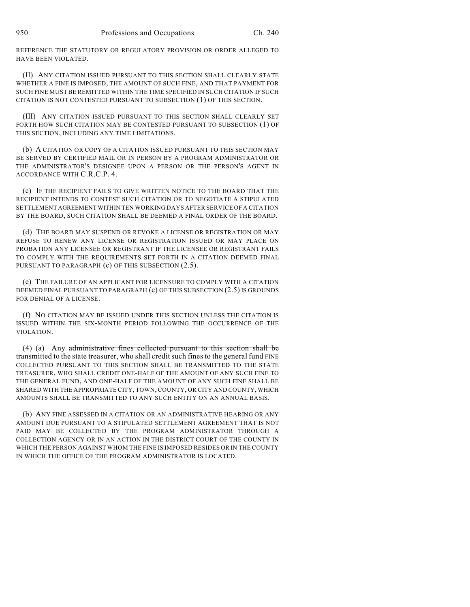REFERENCE THE STATUTORY OR REGULATORY PROVISION OR ORDER ALLEGED TO HAVE BEEN VIOLATED.

(II) ANY CITATION ISSUED PURSUANT TO THIS SECTION SHALL CLEARLY STATE WHETHER A FINE IS IMPOSED, THE AMOUNT OF SUCH FINE, AND THAT PAYMENT FOR SUCH FINE MUST BE REMITTED WITHIN THE TIME SPECIFIED IN SUCH CITATION IF SUCH CITATION IS NOT CONTESTED PURSUANT TO SUBSECTION (1) OF THIS SECTION.

(III) ANY CITATION ISSUED PURSUANT TO THIS SECTION SHALL CLEARLY SET FORTH HOW SUCH CITATION MAY BE CONTESTED PURSUANT TO SUBSECTION (1) OF THIS SECTION, INCLUDING ANY TIME LIMITATIONS.

(b) A CITATION OR COPY OF A CITATION ISSUED PURSUANT TO THIS SECTION MAY BE SERVED BY CERTIFIED MAIL OR IN PERSON BY A PROGRAM ADMINISTRATOR OR THE ADMINISTRATOR'S DESIGNEE UPON A PERSON OR THE PERSON'S AGENT IN ACCORDANCE WITH C.R.C.P. 4.

(c) IF THE RECIPIENT FAILS TO GIVE WRITTEN NOTICE TO THE BOARD THAT THE RECIPIENT INTENDS TO CONTEST SUCH CITATION OR TO NEGOTIATE A STIPULATED SETTLEMENT AGREEMENT WITHIN TEN WORKING DAYS AFTER SERVICE OF A CITATION BY THE BOARD, SUCH CITATION SHALL BE DEEMED A FINAL ORDER OF THE BOARD.

(d) THE BOARD MAY SUSPEND OR REVOKE A LICENSE OR REGISTRATION OR MAY REFUSE TO RENEW ANY LICENSE OR REGISTRATION ISSUED OR MAY PLACE ON PROBATION ANY LICENSEE OR REGISTRANT IF THE LICENSEE OR REGISTRANT FAILS TO COMPLY WITH THE REQUIREMENTS SET FORTH IN A CITATION DEEMED FINAL PURSUANT TO PARAGRAPH (c) OF THIS SUBSECTION (2.5).

(e) THE FAILURE OF AN APPLICANT FOR LICENSURE TO COMPLY WITH A CITATION DEEMED FINAL PURSUANT TO PARAGRAPH (c) OF THIS SUBSECTION (2.5) IS GROUNDS FOR DENIAL OF A LICENSE.

(f) NO CITATION MAY BE ISSUED UNDER THIS SECTION UNLESS THE CITATION IS ISSUED WITHIN THE SIX-MONTH PERIOD FOLLOWING THE OCCURRENCE OF THE VIOLATION.

(4) (a) Any administrative fines collected pursuant to this section shall be transmitted to the state treasurer, who shall credit such fines to the general fund FINE COLLECTED PURSUANT TO THIS SECTION SHALL BE TRANSMITTED TO THE STATE TREASURER, WHO SHALL CREDIT ONE-HALF OF THE AMOUNT OF ANY SUCH FINE TO THE GENERAL FUND, AND ONE-HALF OF THE AMOUNT OF ANY SUCH FINE SHALL BE SHARED WITH THE APPROPRIATE CITY, TOWN, COUNTY, OR CITY AND COUNTY, WHICH AMOUNTS SHALL BE TRANSMITTED TO ANY SUCH ENTITY ON AN ANNUAL BASIS.

(b) ANY FINE ASSESSED IN A CITATION OR AN ADMINISTRATIVE HEARING OR ANY AMOUNT DUE PURSUANT TO A STIPULATED SETTLEMENT AGREEMENT THAT IS NOT PAID MAY BE COLLECTED BY THE PROGRAM ADMINISTRATOR THROUGH A COLLECTION AGENCY OR IN AN ACTION IN THE DISTRICT COURT OF THE COUNTY IN WHICH THE PERSON AGAINST WHOM THE FINE IS IMPOSED RESIDES OR IN THE COUNTY IN WHICH THE OFFICE OF THE PROGRAM ADMINISTRATOR IS LOCATED.